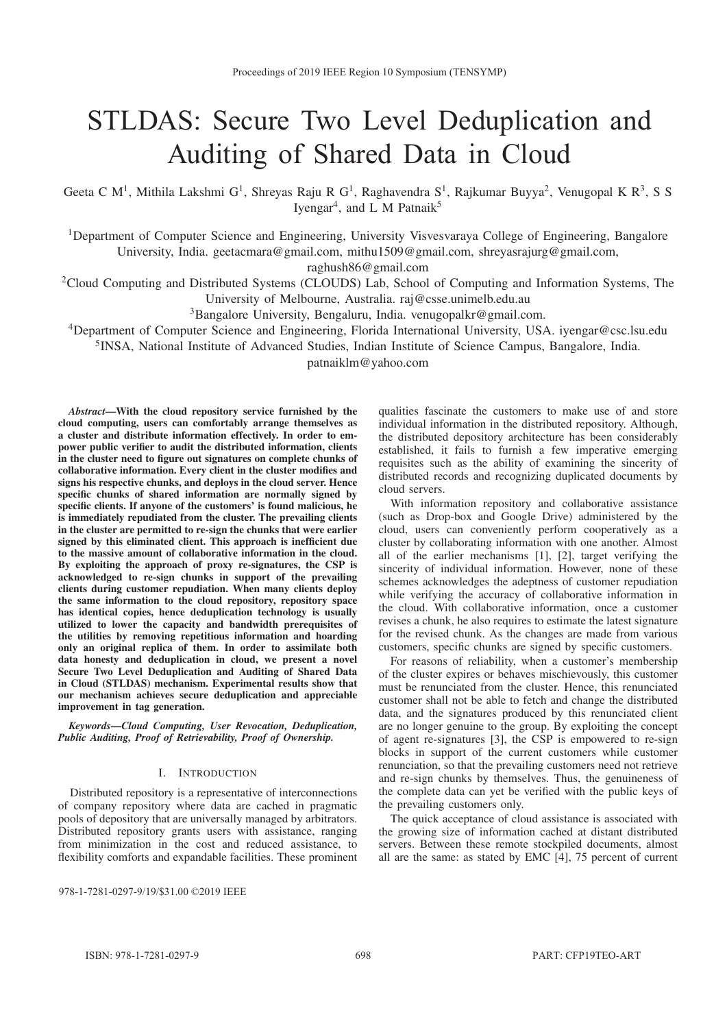# STLDAS: Secure Two Level Deduplication and Auditing of Shared Data in Cloud

Geeta C M<sup>1</sup>, Mithila Lakshmi G<sup>1</sup>, Shreyas Raju R G<sup>1</sup>, Raghavendra S<sup>1</sup>, Rajkumar Buyya<sup>2</sup>, Venugopal K R<sup>3</sup>, S S Iyengar<sup>4</sup>, and L M Patnaik<sup>5</sup>

<sup>1</sup>Department of Computer Science and Engineering, University Visvesvaraya College of Engineering, Bangalore University, India. geetacmara@gmail.com, mithu1509@gmail.com, shreyasrajurg@gmail.com,

raghush86@gmail.com

2Cloud Computing and Distributed Systems (CLOUDS) Lab, School of Computing and Information Systems, The University of Melbourne, Australia. raj@csse.unimelb.edu.au

3Bangalore University, Bengaluru, India. venugopalkr@gmail.com.

4Department of Computer Science and Engineering, Florida International University, USA. iyengar@csc.lsu.edu

5INSA, National Institute of Advanced Studies, Indian Institute of Science Campus, Bangalore, India.

patnaiklm@yahoo.com

*Abstract*—With the cloud repository service furnished by the cloud computing, users can comfortably arrange themselves as a cluster and distribute information effectively. In order to empower public verifier to audit the distributed information, clients in the cluster need to figure out signatures on complete chunks of collaborative information. Every client in the cluster modifies and signs his respective chunks, and deploys in the cloud server. Hence specific chunks of shared information are normally signed by specific clients. If anyone of the customers' is found malicious, he is immediately repudiated from the cluster. The prevailing clients in the cluster are permitted to re-sign the chunks that were earlier signed by this eliminated client. This approach is inefficient due to the massive amount of collaborative information in the cloud. By exploiting the approach of proxy re-signatures, the CSP is acknowledged to re-sign chunks in support of the prevailing clients during customer repudiation. When many clients deploy the same information to the cloud repository, repository space has identical copies, hence deduplication technology is usually utilized to lower the capacity and bandwidth prerequisites of the utilities by removing repetitious information and hoarding only an original replica of them. In order to assimilate both data honesty and deduplication in cloud, we present a novel Secure Two Level Deduplication and Auditing of Shared Data in Cloud (STLDAS) mechanism. Experimental results show that our mechanism achieves secure deduplication and appreciable improvement in tag generation.

*Keywords*—*Cloud Computing, User Revocation, Deduplication, Public Auditing, Proof of Retrievability, Proof of Ownership.*

# I. INTRODUCTION

Distributed repository is a representative of interconnections of company repository where data are cached in pragmatic pools of depository that are universally managed by arbitrators. Distributed repository grants users with assistance, ranging from minimization in the cost and reduced assistance, to flexibility comforts and expandable facilities. These prominent

978-1-7281-0297-9/19/\$31.00 ©2019 JEEE

qualities fascinate the customers to make use of and store individual information in the distributed repository. Although, the distributed depository architecture has been considerably established, it fails to furnish a few imperative emerging requisites such as the ability of examining the sincerity of distributed records and recognizing duplicated documents by cloud servers.

With information repository and collaborative assistance (such as Drop-box and Google Drive) administered by the cloud, users can conveniently perform cooperatively as a cluster by collaborating information with one another. Almost all of the earlier mechanisms [1], [2], target verifying the sincerity of individual information. However, none of these schemes acknowledges the adeptness of customer repudiation while verifying the accuracy of collaborative information in the cloud. With collaborative information, once a customer revises a chunk, he also requires to estimate the latest signature for the revised chunk. As the changes are made from various customers, specific chunks are signed by specific customers.

For reasons of reliability, when a customer's membership of the cluster expires or behaves mischievously, this customer must be renunciated from the cluster. Hence, this renunciated customer shall not be able to fetch and change the distributed data, and the signatures produced by this renunciated client are no longer genuine to the group. By exploiting the concept of agent re-signatures [3], the CSP is empowered to re-sign blocks in support of the current customers while customer renunciation, so that the prevailing customers need not retrieve and re-sign chunks by themselves. Thus, the genuineness of the complete data can yet be verified with the public keys of the prevailing customers only.

The quick acceptance of cloud assistance is associated with the growing size of information cached at distant distributed servers. Between these remote stockpiled documents, almost all are the same: as stated by EMC [4], 75 percent of current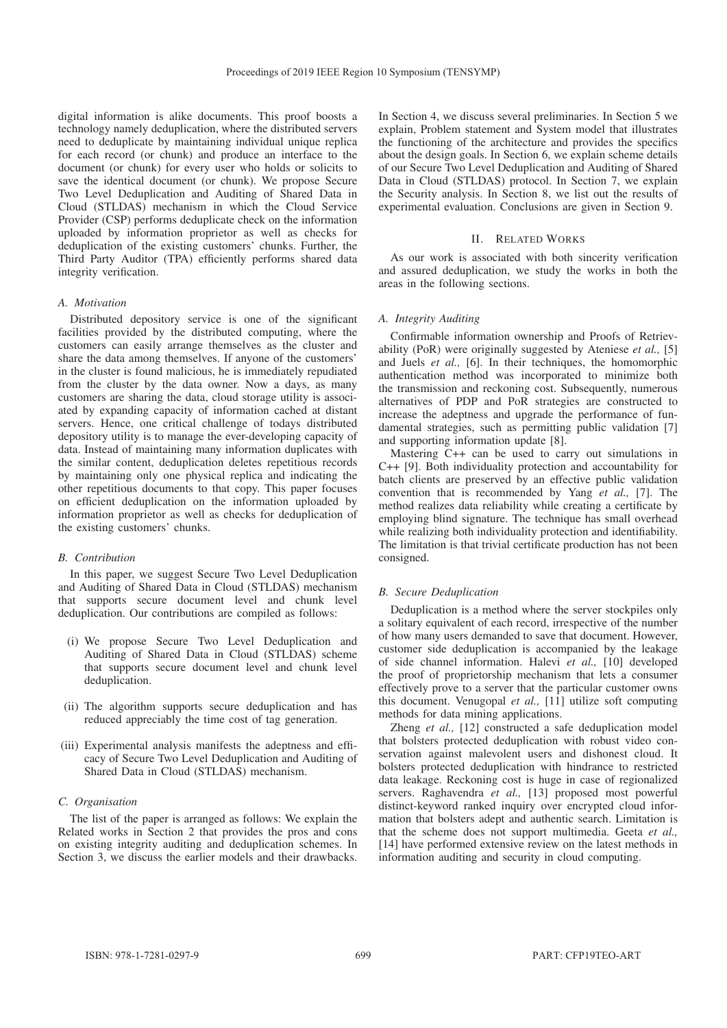digital information is alike documents. This proof boosts a technology namely deduplication, where the distributed servers need to deduplicate by maintaining individual unique replica for each record (or chunk) and produce an interface to the document (or chunk) for every user who holds or solicits to save the identical document (or chunk). We propose Secure Two Level Deduplication and Auditing of Shared Data in Cloud (STLDAS) mechanism in which the Cloud Service Provider (CSP) performs deduplicate check on the information uploaded by information proprietor as well as checks for deduplication of the existing customers' chunks. Further, the Third Party Auditor (TPA) efficiently performs shared data integrity verification.

## *A. Motivation*

Distributed depository service is one of the significant facilities provided by the distributed computing, where the customers can easily arrange themselves as the cluster and share the data among themselves. If anyone of the customers' in the cluster is found malicious, he is immediately repudiated from the cluster by the data owner. Now a days, as many customers are sharing the data, cloud storage utility is associated by expanding capacity of information cached at distant servers. Hence, one critical challenge of todays distributed depository utility is to manage the ever-developing capacity of data. Instead of maintaining many information duplicates with the similar content, deduplication deletes repetitious records by maintaining only one physical replica and indicating the other repetitious documents to that copy. This paper focuses on efficient deduplication on the information uploaded by information proprietor as well as checks for deduplication of the existing customers' chunks.

## *B. Contribution*

In this paper, we suggest Secure Two Level Deduplication and Auditing of Shared Data in Cloud (STLDAS) mechanism that supports secure document level and chunk level deduplication. Our contributions are compiled as follows:

- (i) We propose Secure Two Level Deduplication and Auditing of Shared Data in Cloud (STLDAS) scheme that supports secure document level and chunk level deduplication.
- (ii) The algorithm supports secure deduplication and has reduced appreciably the time cost of tag generation.
- (iii) Experimental analysis manifests the adeptness and efficacy of Secure Two Level Deduplication and Auditing of Shared Data in Cloud (STLDAS) mechanism.

# *C. Organisation*

The list of the paper is arranged as follows: We explain the Related works in Section 2 that provides the pros and cons on existing integrity auditing and deduplication schemes. In Section 3, we discuss the earlier models and their drawbacks. In Section 4, we discuss several preliminaries. In Section 5 we explain, Problem statement and System model that illustrates the functioning of the architecture and provides the specifics about the design goals. In Section 6, we explain scheme details of our Secure Two Level Deduplication and Auditing of Shared Data in Cloud (STLDAS) protocol. In Section 7, we explain the Security analysis. In Section 8, we list out the results of experimental evaluation. Conclusions are given in Section 9.

#### II. RELATED WORKS

As our work is associated with both sincerity verification and assured deduplication, we study the works in both the areas in the following sections.

# *A. Integrity Auditing*

Confirmable information ownership and Proofs of Retrievability (PoR) were originally suggested by Ateniese *et al.,* [5] and Juels *et al.,* [6]. In their techniques, the homomorphic authentication method was incorporated to minimize both the transmission and reckoning cost. Subsequently, numerous alternatives of PDP and PoR strategies are constructed to increase the adeptness and upgrade the performance of fundamental strategies, such as permitting public validation [7] and supporting information update [8].

Mastering C++ can be used to carry out simulations in C++ [9]. Both individuality protection and accountability for batch clients are preserved by an effective public validation convention that is recommended by Yang *et al.,* [7]. The method realizes data reliability while creating a certificate by employing blind signature. The technique has small overhead while realizing both individuality protection and identifiability. The limitation is that trivial certificate production has not been consigned.

## *B. Secure Deduplication*

Deduplication is a method where the server stockpiles only a solitary equivalent of each record, irrespective of the number of how many users demanded to save that document. However, customer side deduplication is accompanied by the leakage of side channel information. Halevi *et al.,* [10] developed the proof of proprietorship mechanism that lets a consumer effectively prove to a server that the particular customer owns this document. Venugopal *et al.,* [11] utilize soft computing methods for data mining applications.

Zheng *et al.*, [12] constructed a safe deduplication model that bolsters protected deduplication with robust video conservation against malevolent users and dishonest cloud. It bolsters protected deduplication with hindrance to restricted data leakage. Reckoning cost is huge in case of regionalized servers. Raghavendra *et al.,* [13] proposed most powerful distinct-keyword ranked inquiry over encrypted cloud information that bolsters adept and authentic search. Limitation is that the scheme does not support multimedia. Geeta *et al.,* [14] have performed extensive review on the latest methods in information auditing and security in cloud computing.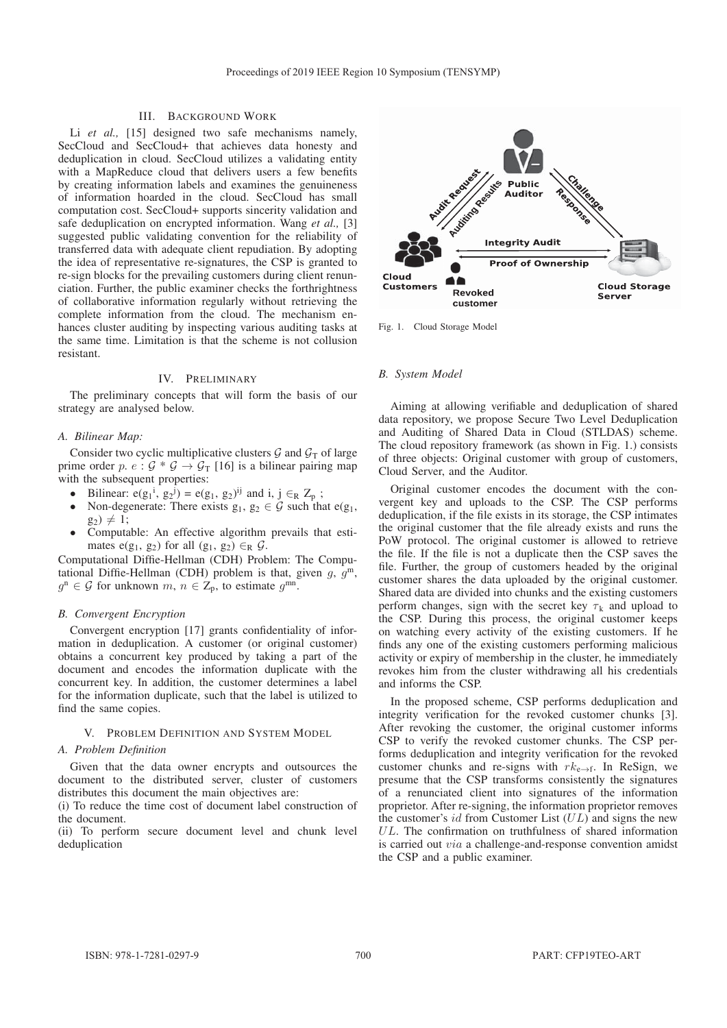# III. BACKGROUND WORK

Li *et al.*, [15] designed two safe mechanisms namely, SecCloud and SecCloud+ that achieves data honesty and deduplication in cloud. SecCloud utilizes a validating entity with a MapReduce cloud that delivers users a few benefits by creating information labels and examines the genuineness of information hoarded in the cloud. SecCloud has small computation cost. SecCloud+ supports sincerity validation and safe deduplication on encrypted information. Wang *et al.,* [3] suggested public validating convention for the reliability of transferred data with adequate client repudiation. By adopting the idea of representative re-signatures, the CSP is granted to re-sign blocks for the prevailing customers during client renunciation. Further, the public examiner checks the forthrightness of collaborative information regularly without retrieving the complete information from the cloud. The mechanism enhances cluster auditing by inspecting various auditing tasks at the same time. Limitation is that the scheme is not collusion resistant.

## IV. PRELIMINARY

The preliminary concepts that will form the basis of our strategy are analysed below.

#### *A. Bilinear Map:*

Consider two cyclic multiplicative clusters  $\mathcal G$  and  $\mathcal G_T$  of large prime order p. e :  $G * G \rightarrow G_T$  [16] is a bilinear pairing map with the subsequent properties:

- Bilinear:  $e(g_1^i, g_2^j) = e(g_1, g_2)^{ij}$  and  $i, j \in_R Z_p$ ;
- Non-degenerate: There exists  $g_1, g_2 \in \mathcal{G}$  such that  $e(g_1, g_2)$  $g_2) \neq 1;$
- Computable: An effective algorithm prevails that estimates e(g<sub>1</sub>, g<sub>2</sub>) for all (g<sub>1</sub>, g<sub>2</sub>)  $\in_R$   $\mathcal{G}$ .

Computational Diffie-Hellman (CDH) Problem: The Computational Diffie-Hellman (CDH) problem is that, given  $g$ ,  $g^m$ ,  $g^n \in \mathcal{G}$  for unknown  $m, n \in \mathbb{Z}_p$ , to estimate  $g^{mn}$ .

## *B. Convergent Encryption*

Convergent encryption [17] grants confidentiality of information in deduplication. A customer (or original customer) obtains a concurrent key produced by taking a part of the document and encodes the information duplicate with the concurrent key. In addition, the customer determines a label for the information duplicate, such that the label is utilized to find the same copies.

# V. PROBLEM DEFINITION AND SYSTEM MODEL

#### *A. Problem Definition*

Given that the data owner encrypts and outsources the document to the distributed server, cluster of customers distributes this document the main objectives are:

(i) To reduce the time cost of document label construction of the document.

(ii) To perform secure document level and chunk level deduplication



Fig. 1. Cloud Storage Model

## *B. System Model*

Aiming at allowing verifiable and deduplication of shared data repository, we propose Secure Two Level Deduplication and Auditing of Shared Data in Cloud (STLDAS) scheme. The cloud repository framework (as shown in Fig. 1.) consists of three objects: Original customer with group of customers, Cloud Server, and the Auditor.

Original customer encodes the document with the convergent key and uploads to the CSP. The CSP performs deduplication, if the file exists in its storage, the CSP intimates the original customer that the file already exists and runs the PoW protocol. The original customer is allowed to retrieve the file. If the file is not a duplicate then the CSP saves the file. Further, the group of customers headed by the original customer shares the data uploaded by the original customer. Shared data are divided into chunks and the existing customers perform changes, sign with the secret key  $\tau_k$  and upload to the CSP. During this process, the original customer keeps on watching every activity of the existing customers. If he finds any one of the existing customers performing malicious activity or expiry of membership in the cluster, he immediately revokes him from the cluster withdrawing all his credentials and informs the CSP.

In the proposed scheme, CSP performs deduplication and integrity verification for the revoked customer chunks [3]. After revoking the customer, the original customer informs CSP to verify the revoked customer chunks. The CSP performs deduplication and integrity verification for the revoked customer chunks and re-signs with  $rk_{e\rightarrow f}$ . In ReSign, we presume that the CSP transforms consistently the signatures of a renunciated client into signatures of the information proprietor. After re-signing, the information proprietor removes the customer's  $id$  from Customer List  $(UL)$  and signs the new UL. The confirmation on truthfulness of shared information is carried out via a challenge-and-response convention amidst the CSP and a public examiner.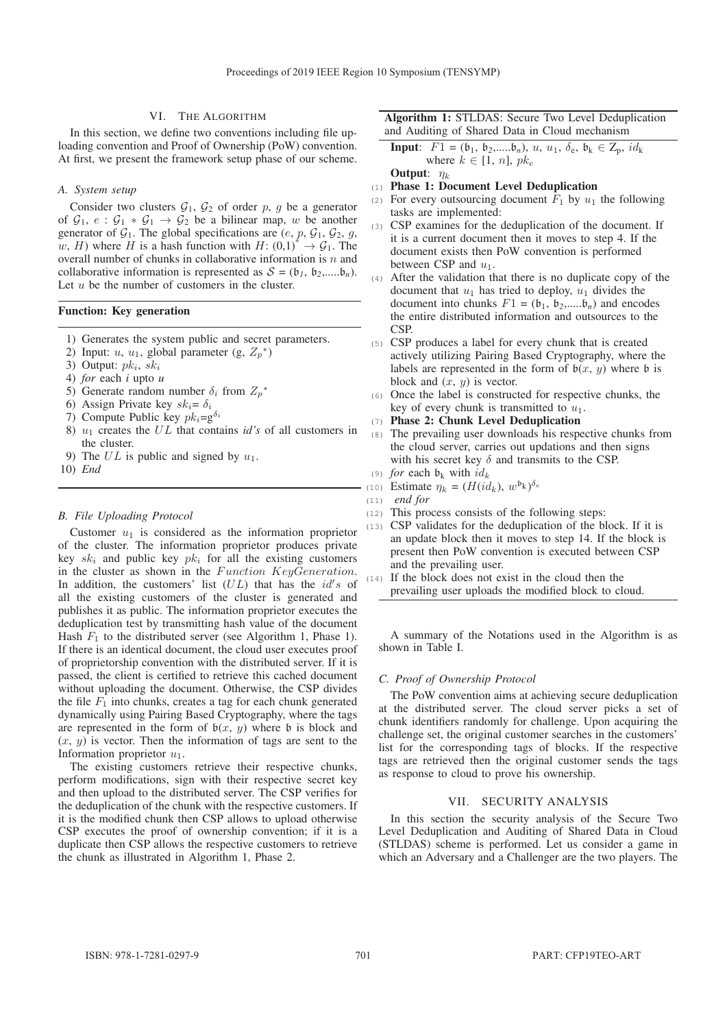# VI. THE ALGORITHM

In this section, we define two conventions including file uploading convention and Proof of Ownership (PoW) convention. At first, we present the framework setup phase of our scheme.

#### *A. System setup*

Consider two clusters  $G_1$ ,  $G_2$  of order p, g be a generator of  $G_1$ ,  $e : G_1 * G_1 \rightarrow G_2$  be a bilinear map, w be another generator of  $G_1$ . The global specifications are  $(e, p, G_1, G_2, g,$ w, H) where H is a hash function with  $H: (0,1)^* \rightarrow \mathcal{G}_1$ . The overall number of chunks in collaborative information is  $n$  and collaborative information is represented as  $S = (\mathfrak{b}_1, \mathfrak{b}_2, \ldots, \mathfrak{b}_n)$ . Let  $u$  be the number of customers in the cluster.

## Function: Key generation

- 1) Generates the system public and secret parameters.
- 2) Input: *u*, *u*<sub>1</sub>, global parameter (g,  $Z_p^*$ )
- 3) Output:  $pk_i$ ,  $sk_i$
- 4) *for* each *i* upto *u*
- 5) Generate random number  $\delta_i$  from  $Z_p^*$
- 6) Assign Private key  $sk_i = \delta_i$
- 7) Compute Public key  $pk_i = g^{\delta_i}$
- 8)  $u_1$  creates the  $UL$  that contains *id's* of all customers in the cluster.
- 9) The  $UL$  is public and signed by  $u_1$ .
- 10) *End*

## *B. File Uploading Protocol*

Customer  $u_1$  is considered as the information proprietor of the cluster. The information proprietor produces private key  $sk_i$  and public key  $pk_i$  for all the existing customers in the cluster as shown in the  $Function$  KeyGeneration. In addition, the customers' list  $(UL)$  that has the  $id's$  of all the existing customers of the cluster is generated and publishes it as public. The information proprietor executes the deduplication test by transmitting hash value of the document Hash  $F_1$  to the distributed server (see Algorithm 1, Phase 1). If there is an identical document, the cloud user executes proof of proprietorship convention with the distributed server. If it is passed, the client is certified to retrieve this cached document without uploading the document. Otherwise, the CSP divides the file  $F_1$  into chunks, creates a tag for each chunk generated dynamically using Pairing Based Cryptography, where the tags are represented in the form of  $b(x, y)$  where b is block and  $(x, y)$  is vector. Then the information of tags are sent to the Information proprietor  $u_1$ .

The existing customers retrieve their respective chunks, perform modifications, sign with their respective secret key and then upload to the distributed server. The CSP verifies for the deduplication of the chunk with the respective customers. If it is the modified chunk then CSP allows to upload otherwise CSP executes the proof of ownership convention; if it is a duplicate then CSP allows the respective customers to retrieve the chunk as illustrated in Algorithm 1, Phase 2.

# Algorithm 1: STLDAS: Secure Two Level Deduplication and Auditing of Shared Data in Cloud mechanism

**Input:** 
$$
F1 = (\mathfrak{b}_1, \mathfrak{b}_2, \ldots, \mathfrak{b}_n), u, u_1, \delta_e, \mathfrak{b}_k \in \mathbb{Z}_p, id_k
$$
 where  $k \in [1, n], pk_e$  **Output:**  $\eta_k$ 

- (1) Phase 1: Document Level Deduplication
- (2) For every outsourcing document  $\overline{F}_1$  by  $u_1$  the following tasks are implemented:
- (3) CSP examines for the deduplication of the document. If it is a current document then it moves to step 4. If the document exists then PoW convention is performed between CSP and  $u_1$ .
- (4) After the validation that there is no duplicate copy of the document that  $u_1$  has tried to deploy,  $u_1$  divides the document into chunks  $F1 = (b_1, b_2, \dots, b_n)$  and encodes the entire distributed information and outsources to the CSP.
- (5) CSP produces a label for every chunk that is created actively utilizing Pairing Based Cryptography, where the labels are represented in the form of  $b(x, y)$  where b is block and  $(x, y)$  is vector.
- (6) Once the label is constructed for respective chunks, the key of every chunk is transmitted to  $u_1$ .
- (7) Phase 2: Chunk Level Deduplication
- (8) The prevailing user downloads his respective chunks from the cloud server, carries out updations and then signs with his secret key  $\delta$  and transmits to the CSP.
- (9) *for* each  $\mathfrak{b}_k$  with  $id_k$ (10) Estimate  $\eta_k = (H(id_k), w^{\mathfrak{b}_k})^{\delta_e}$
- (11) *end for*
- 
- (12) This process consists of the following steps:
- (13) CSP validates for the deduplication of the block. If it is an update block then it moves to step 14. If the block is present then PoW convention is executed between CSP and the prevailing user.
- (14) If the block does not exist in the cloud then the prevailing user uploads the modified block to cloud.

A summary of the Notations used in the Algorithm is as shown in Table I.

## *C. Proof of Ownership Protocol*

The PoW convention aims at achieving secure deduplication at the distributed server. The cloud server picks a set of chunk identifiers randomly for challenge. Upon acquiring the challenge set, the original customer searches in the customers' list for the corresponding tags of blocks. If the respective tags are retrieved then the original customer sends the tags as response to cloud to prove his ownership.

# VII. SECURITY ANALYSIS

In this section the security analysis of the Secure Two Level Deduplication and Auditing of Shared Data in Cloud (STLDAS) scheme is performed. Let us consider a game in which an Adversary and a Challenger are the two players. The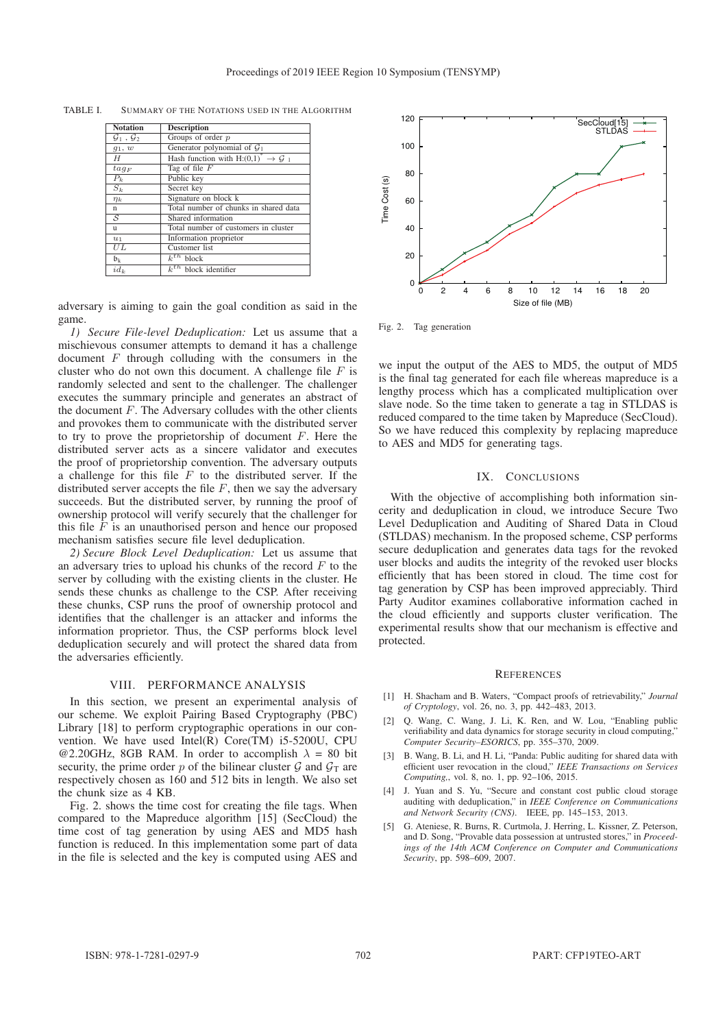| <b>Notation</b>                   | <b>Description</b>                              |
|-----------------------------------|-------------------------------------------------|
| $\mathcal{G}_1$ , $\mathcal{G}_2$ | Groups of order $p$                             |
| $g_1, w$                          | Generator polynomial of $\mathcal{G}_1$         |
| H                                 | Hash function with H: $(0,1)^* \rightarrow G_1$ |
| $tag_F$                           | Tag of file $F$                                 |
| $P_k$                             | Public key                                      |
| $S_k$                             | Secret key                                      |
| $\eta_k$                          | Signature on block k                            |
| n                                 | Total number of chunks in shared data           |
| $\overline{\mathcal{S}}$          | Shared information                              |
| u                                 | Total number of customers in cluster            |
| $u_1$                             | Information proprietor                          |
| UL                                | Customer list                                   |
| $\mathfrak{b}_k$                  | $\overline{k^{th}}$ block                       |
| $id_k$                            | $k^{th}$ block identifier                       |

TABLE I. SUMMARY OF THE NOTATIONS USED IN THE ALGORITHM

adversary is aiming to gain the goal condition as said in the game.

*1) Secure File-level Deduplication:* Let us assume that a mischievous consumer attempts to demand it has a challenge document  $F$  through colluding with the consumers in the cluster who do not own this document. A challenge file  $F$  is randomly selected and sent to the challenger. The challenger executes the summary principle and generates an abstract of the document  $F$ . The Adversary colludes with the other clients and provokes them to communicate with the distributed server to try to prove the proprietorship of document  $F$ . Here the distributed server acts as a sincere validator and executes the proof of proprietorship convention. The adversary outputs a challenge for this file  $F$  to the distributed server. If the distributed server accepts the file  $F$ , then we say the adversary succeeds. But the distributed server, by running the proof of ownership protocol will verify securely that the challenger for this file  $\overline{F}$  is an unauthorised person and hence our proposed mechanism satisfies secure file level deduplication.

*2) Secure Block Level Deduplication:* Let us assume that an adversary tries to upload his chunks of the record  $F$  to the server by colluding with the existing clients in the cluster. He sends these chunks as challenge to the CSP. After receiving these chunks, CSP runs the proof of ownership protocol and identifies that the challenger is an attacker and informs the information proprietor. Thus, the CSP performs block level deduplication securely and will protect the shared data from the adversaries efficiently.

#### VIII. PERFORMANCE ANALYSIS

In this section, we present an experimental analysis of our scheme. We exploit Pairing Based Cryptography (PBC) Library [18] to perform cryptographic operations in our convention. We have used Intel(R) Core(TM) i5-5200U, CPU @2.20GHz, 8GB RAM. In order to accomplish  $\lambda = 80$  bit security, the prime order p of the bilinear cluster  $\mathcal G$  and  $\mathcal G_T$  are respectively chosen as 160 and 512 bits in length. We also set the chunk size as 4 KB.

Fig. 2. shows the time cost for creating the file tags. When compared to the Mapreduce algorithm [15] (SecCloud) the time cost of tag generation by using AES and MD5 hash function is reduced. In this implementation some part of data in the file is selected and the key is computed using AES and



Fig. 2. Tag generation

we input the output of the AES to MD5, the output of MD5 is the final tag generated for each file whereas mapreduce is a lengthy process which has a complicated multiplication over slave node. So the time taken to generate a tag in STLDAS is reduced compared to the time taken by Mapreduce (SecCloud). So we have reduced this complexity by replacing mapreduce to AES and MD5 for generating tags.

# IX. CONCLUSIONS

With the objective of accomplishing both information sincerity and deduplication in cloud, we introduce Secure Two Level Deduplication and Auditing of Shared Data in Cloud (STLDAS) mechanism. In the proposed scheme, CSP performs secure deduplication and generates data tags for the revoked user blocks and audits the integrity of the revoked user blocks efficiently that has been stored in cloud. The time cost for tag generation by CSP has been improved appreciably. Third Party Auditor examines collaborative information cached in the cloud efficiently and supports cluster verification. The experimental results show that our mechanism is effective and protected.

## **REFERENCES**

- [1] H. Shacham and B. Waters, "Compact proofs of retrievability," *Journal of Cryptology*, vol. 26, no. 3, pp. 442–483, 2013.
- [2] Q. Wang, C. Wang, J. Li, K. Ren, and W. Lou, "Enabling public verifiability and data dynamics for storage security in cloud computing,' *Computer Security–ESORICS*, pp. 355–370, 2009.
- [3] B. Wang, B. Li, and H. Li, "Panda: Public auditing for shared data with efficient user revocation in the cloud," *IEEE Transactions on Services Computing,*, vol. 8, no. 1, pp. 92–106, 2015.
- [4] J. Yuan and S. Yu, "Secure and constant cost public cloud storage auditing with deduplication," in *IEEE Conference on Communications and Network Security (CNS)*. IEEE, pp. 145–153, 2013.
- [5] G. Ateniese, R. Burns, R. Curtmola, J. Herring, L. Kissner, Z. Peterson, and D. Song, "Provable data possession at untrusted stores," in *Proceedings of the 14th ACM Conference on Computer and Communications Security*, pp. 598–609, 2007.